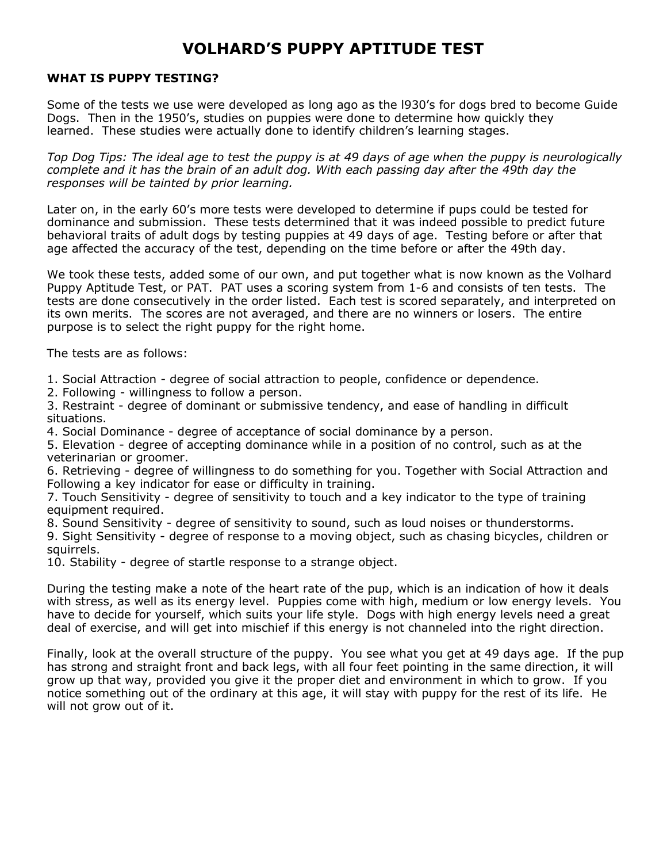## VOLHARD'S PUPPY APTITUDE TEST

#### WHAT IS PUPPY TESTING?

Some of the tests we use were developed as long ago as the l930's for dogs bred to become Guide Dogs. Then in the 1950's, studies on puppies were done to determine how quickly they learned. These studies were actually done to identify children's learning stages.

Top Dog Tips: The ideal age to test the puppy is at 49 days of age when the puppy is neurologically complete and it has the brain of an adult dog. With each passing day after the 49th day the responses will be tainted by prior learning.

Later on, in the early 60's more tests were developed to determine if pups could be tested for dominance and submission. These tests determined that it was indeed possible to predict future behavioral traits of adult dogs by testing puppies at 49 days of age. Testing before or after that age affected the accuracy of the test, depending on the time before or after the 49th day.

We took these tests, added some of our own, and put together what is now known as the Volhard Puppy Aptitude Test, or PAT. PAT uses a scoring system from 1-6 and consists of ten tests. The tests are done consecutively in the order listed. Each test is scored separately, and interpreted on its own merits. The scores are not averaged, and there are no winners or losers. The entire purpose is to select the right puppy for the right home.

The tests are as follows:

1. Social Attraction - degree of social attraction to people, confidence or dependence.

2. Following - willingness to follow a person.

3. Restraint - degree of dominant or submissive tendency, and ease of handling in difficult situations.

4. Social Dominance - degree of acceptance of social dominance by a person.

5. Elevation - degree of accepting dominance while in a position of no control, such as at the veterinarian or groomer.

6. Retrieving - degree of willingness to do something for you. Together with Social Attraction and Following a key indicator for ease or difficulty in training.

7. Touch Sensitivity - degree of sensitivity to touch and a key indicator to the type of training equipment required.

8. Sound Sensitivity - degree of sensitivity to sound, such as loud noises or thunderstorms.

9. Sight Sensitivity - degree of response to a moving object, such as chasing bicycles, children or squirrels.

10. Stability - degree of startle response to a strange object.

During the testing make a note of the heart rate of the pup, which is an indication of how it deals with stress, as well as its energy level. Puppies come with high, medium or low energy levels. You have to decide for yourself, which suits your life style. Dogs with high energy levels need a great deal of exercise, and will get into mischief if this energy is not channeled into the right direction.

Finally, look at the overall structure of the puppy. You see what you get at 49 days age. If the pup has strong and straight front and back legs, with all four feet pointing in the same direction, it will grow up that way, provided you give it the proper diet and environment in which to grow. If you notice something out of the ordinary at this age, it will stay with puppy for the rest of its life. He will not grow out of it.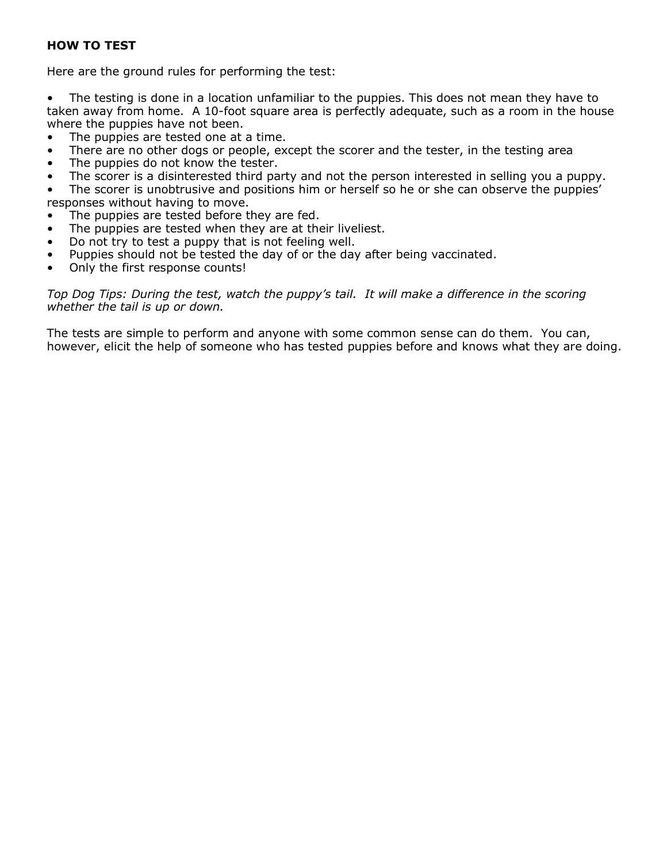## HOW TO TEST

Here are the ground rules for performing the test:

• The testing is done in a location unfamiliar to the puppies. This does not mean they have to taken away from home. A 10-foot square area is perfectly adequate, such as a room in the house where the puppies have not been.

- The puppies are tested one at a time.
- There are no other dogs or people, except the scorer and the tester, in the testing area
- The puppies do not know the tester.
- The scorer is a disinterested third party and not the person interested in selling you a puppy.

• The scorer is unobtrusive and positions him or herself so he or she can observe the puppies' responses without having to move.

- The puppies are tested before they are fed.
- The puppies are tested when they are at their liveliest.
- Do not try to test a puppy that is not feeling well.
- Puppies should not be tested the day of or the day after being vaccinated.
- Only the first response counts!

Top Dog Tips: During the test, watch the puppy's tail. It will make a difference in the scoring whether the tail is up or down.

The tests are simple to perform and anyone with some common sense can do them. You can, however, elicit the help of someone who has tested puppies before and knows what they are doing.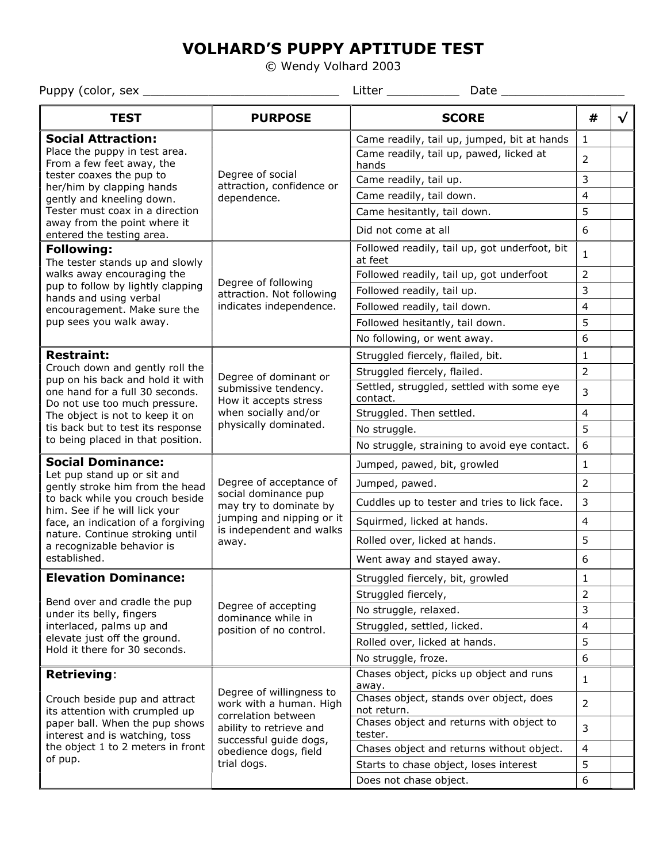# VOLHARD'S PUPPY APTITUDE TEST

© Wendy Volhard 2003

Puppy (color, sex \_\_\_\_\_\_\_\_\_\_\_\_\_\_\_\_\_\_\_\_\_\_\_\_\_\_\_ Litter \_\_\_\_\_\_\_\_\_\_ Date \_\_\_\_\_\_\_\_\_\_\_\_\_\_\_\_\_

| <b>TEST</b>                                                                                                                                                                                                                                                           | <b>PURPOSE</b>                                                                                                                                                          | <b>SCORE</b>                                             | #              |  |
|-----------------------------------------------------------------------------------------------------------------------------------------------------------------------------------------------------------------------------------------------------------------------|-------------------------------------------------------------------------------------------------------------------------------------------------------------------------|----------------------------------------------------------|----------------|--|
| <b>Social Attraction:</b><br>Place the puppy in test area.<br>From a few feet away, the                                                                                                                                                                               | Degree of social<br>attraction, confidence or<br>dependence.                                                                                                            | Came readily, tail up, jumped, bit at hands              | 1              |  |
|                                                                                                                                                                                                                                                                       |                                                                                                                                                                         | Came readily, tail up, pawed, licked at<br>hands         | $\overline{2}$ |  |
| tester coaxes the pup to<br>her/him by clapping hands                                                                                                                                                                                                                 |                                                                                                                                                                         | Came readily, tail up.                                   | 3              |  |
| gently and kneeling down.                                                                                                                                                                                                                                             |                                                                                                                                                                         | Came readily, tail down.                                 | $\overline{4}$ |  |
| Tester must coax in a direction                                                                                                                                                                                                                                       |                                                                                                                                                                         | Came hesitantly, tail down.                              | 5              |  |
| away from the point where it<br>entered the testing area.                                                                                                                                                                                                             |                                                                                                                                                                         | Did not come at all                                      | 6              |  |
| <b>Following:</b><br>The tester stands up and slowly<br>walks away encouraging the<br>pup to follow by lightly clapping<br>hands and using verbal                                                                                                                     | Degree of following<br>attraction. Not following<br>indicates independence.                                                                                             | Followed readily, tail up, got underfoot, bit<br>at feet | $\mathbf{1}$   |  |
|                                                                                                                                                                                                                                                                       |                                                                                                                                                                         | Followed readily, tail up, got underfoot                 | 2              |  |
|                                                                                                                                                                                                                                                                       |                                                                                                                                                                         | Followed readily, tail up.                               | 3              |  |
| encouragement. Make sure the                                                                                                                                                                                                                                          |                                                                                                                                                                         | Followed readily, tail down.                             | $\overline{4}$ |  |
| pup sees you walk away.                                                                                                                                                                                                                                               |                                                                                                                                                                         | Followed hesitantly, tail down.                          | 5              |  |
|                                                                                                                                                                                                                                                                       |                                                                                                                                                                         | No following, or went away.                              | 6              |  |
| <b>Restraint:</b>                                                                                                                                                                                                                                                     |                                                                                                                                                                         | Struggled fiercely, flailed, bit.                        | $\mathbf 1$    |  |
| Crouch down and gently roll the<br>pup on his back and hold it with                                                                                                                                                                                                   | Degree of dominant or                                                                                                                                                   | Struggled fiercely, flailed.                             | $\overline{2}$ |  |
| one hand for a full 30 seconds.<br>Do not use too much pressure.<br>The object is not to keep it on                                                                                                                                                                   | submissive tendency.<br>How it accepts stress<br>when socially and/or<br>physically dominated.                                                                          | Settled, struggled, settled with some eye<br>contact.    | 3              |  |
|                                                                                                                                                                                                                                                                       |                                                                                                                                                                         | Struggled. Then settled.                                 | 4              |  |
| tis back but to test its response                                                                                                                                                                                                                                     |                                                                                                                                                                         | No struggle.                                             | 5              |  |
| to being placed in that position.                                                                                                                                                                                                                                     |                                                                                                                                                                         | No struggle, straining to avoid eye contact.             | 6              |  |
| <b>Social Dominance:</b><br>Let pup stand up or sit and<br>gently stroke him from the head<br>to back while you crouch beside<br>him. See if he will lick your<br>face, an indication of a forgiving<br>nature. Continue stroking until<br>a recognizable behavior is | Degree of acceptance of<br>social dominance pup<br>may try to dominate by<br>jumping and nipping or it<br>is independent and walks<br>away.                             | Jumped, pawed, bit, growled                              | 1              |  |
|                                                                                                                                                                                                                                                                       |                                                                                                                                                                         | Jumped, pawed.                                           | 2              |  |
|                                                                                                                                                                                                                                                                       |                                                                                                                                                                         | Cuddles up to tester and tries to lick face.             | 3              |  |
|                                                                                                                                                                                                                                                                       |                                                                                                                                                                         | Squirmed, licked at hands.                               | $\overline{4}$ |  |
|                                                                                                                                                                                                                                                                       |                                                                                                                                                                         | Rolled over, licked at hands.                            | 5              |  |
| established.                                                                                                                                                                                                                                                          |                                                                                                                                                                         | Went away and stayed away.                               | 6              |  |
| <b>Elevation Dominance:</b>                                                                                                                                                                                                                                           |                                                                                                                                                                         | Struggled fiercely, bit, growled                         | $\mathbf 1$    |  |
| Bend over and cradle the pup                                                                                                                                                                                                                                          | Degree of accepting<br>dominance while in<br>position of no control.                                                                                                    | Struggled fiercely,                                      | $\overline{2}$ |  |
| under its belly, fingers                                                                                                                                                                                                                                              |                                                                                                                                                                         | No struggle, relaxed.                                    | 3              |  |
| interlaced, palms up and                                                                                                                                                                                                                                              |                                                                                                                                                                         | Struggled, settled, licked.                              | $\overline{4}$ |  |
| elevate just off the ground.<br>Hold it there for 30 seconds.                                                                                                                                                                                                         |                                                                                                                                                                         | Rolled over, licked at hands.                            | 5              |  |
|                                                                                                                                                                                                                                                                       |                                                                                                                                                                         | No struggle, froze.                                      | 6              |  |
| <b>Retrieving:</b>                                                                                                                                                                                                                                                    | Degree of willingness to<br>work with a human. High<br>correlation between<br>ability to retrieve and<br>successful guide dogs,<br>obedience dogs, field<br>trial dogs. | Chases object, picks up object and runs<br>away.         | $\mathbf{1}$   |  |
| Crouch beside pup and attract<br>its attention with crumpled up<br>paper ball. When the pup shows<br>interest and is watching, toss<br>the object 1 to 2 meters in front<br>of pup.                                                                                   |                                                                                                                                                                         | Chases object, stands over object, does<br>not return.   | $\overline{2}$ |  |
|                                                                                                                                                                                                                                                                       |                                                                                                                                                                         | Chases object and returns with object to<br>tester.      | 3              |  |
|                                                                                                                                                                                                                                                                       |                                                                                                                                                                         | Chases object and returns without object.                | $\overline{4}$ |  |
|                                                                                                                                                                                                                                                                       |                                                                                                                                                                         | Starts to chase object, loses interest                   | 5              |  |
|                                                                                                                                                                                                                                                                       |                                                                                                                                                                         | Does not chase object.                                   | 6              |  |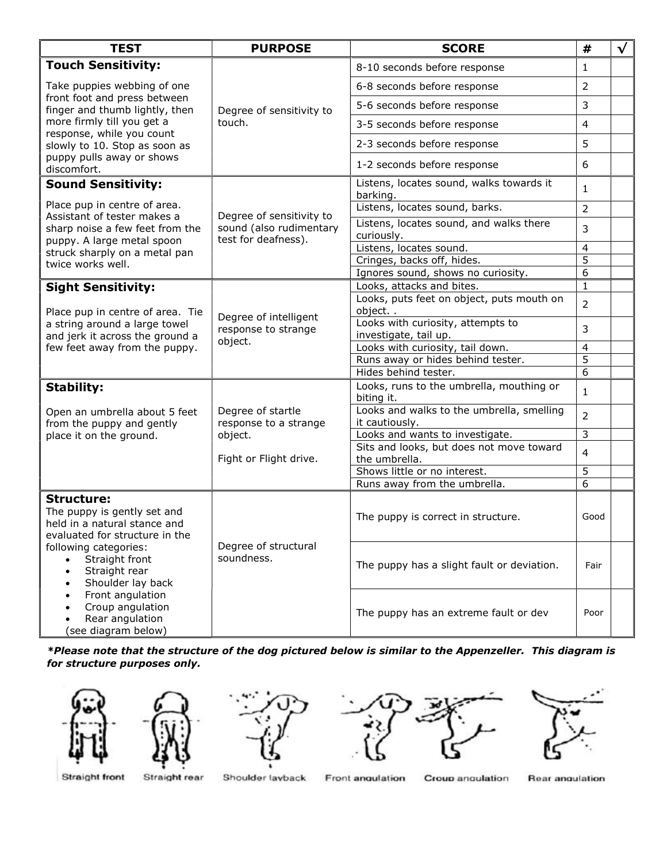| <b>TEST</b>                                                                                                                                                                                                                                                        | <b>PURPOSE</b>                                                                  | <b>SCORE</b>                                                | #              | $\sqrt{}$ |
|--------------------------------------------------------------------------------------------------------------------------------------------------------------------------------------------------------------------------------------------------------------------|---------------------------------------------------------------------------------|-------------------------------------------------------------|----------------|-----------|
| <b>Touch Sensitivity:</b><br>Take puppies webbing of one<br>front foot and press between<br>finger and thumb lightly, then<br>more firmly till you get a<br>response, while you count<br>slowly to 10. Stop as soon as<br>puppy pulls away or shows<br>discomfort. | Degree of sensitivity to<br>touch.                                              | 8-10 seconds before response                                | 1              |           |
|                                                                                                                                                                                                                                                                    |                                                                                 | 6-8 seconds before response                                 | $\overline{2}$ |           |
|                                                                                                                                                                                                                                                                    |                                                                                 | 5-6 seconds before response                                 | 3              |           |
|                                                                                                                                                                                                                                                                    |                                                                                 | 3-5 seconds before response                                 | $\overline{4}$ |           |
|                                                                                                                                                                                                                                                                    |                                                                                 | 2-3 seconds before response                                 | 5              |           |
|                                                                                                                                                                                                                                                                    |                                                                                 | 1-2 seconds before response                                 | 6              |           |
| <b>Sound Sensitivity:</b>                                                                                                                                                                                                                                          | Degree of sensitivity to<br>sound (also rudimentary<br>test for deafness).      | Listens, locates sound, walks towards it<br>barking.        | $\mathbf{1}$   |           |
| Place pup in centre of area.<br>Assistant of tester makes a<br>sharp noise a few feet from the<br>puppy. A large metal spoon<br>struck sharply on a metal pan                                                                                                      |                                                                                 | Listens, locates sound, barks.                              | $\overline{2}$ |           |
|                                                                                                                                                                                                                                                                    |                                                                                 | Listens, locates sound, and walks there<br>curiously.       | 3              |           |
|                                                                                                                                                                                                                                                                    |                                                                                 | Listens, locates sound.                                     | $\overline{4}$ |           |
| twice works well.                                                                                                                                                                                                                                                  |                                                                                 | Cringes, backs off, hides.                                  | $\overline{5}$ |           |
|                                                                                                                                                                                                                                                                    |                                                                                 | Ignores sound, shows no curiosity.                          | 6              |           |
| <b>Sight Sensitivity:</b>                                                                                                                                                                                                                                          | Degree of intelligent<br>response to strange<br>object.                         | Looks, attacks and bites.                                   | $\mathbf{1}$   |           |
| Place pup in centre of area. Tie<br>a string around a large towel<br>and jerk it across the ground a<br>few feet away from the puppy.                                                                                                                              |                                                                                 | Looks, puts feet on object, puts mouth on<br>object         | 2              |           |
|                                                                                                                                                                                                                                                                    |                                                                                 | Looks with curiosity, attempts to<br>investigate, tail up.  | 3              |           |
|                                                                                                                                                                                                                                                                    |                                                                                 | Looks with curiosity, tail down.                            | $\overline{4}$ |           |
|                                                                                                                                                                                                                                                                    |                                                                                 | Runs away or hides behind tester.                           | 5              |           |
|                                                                                                                                                                                                                                                                    |                                                                                 | Hides behind tester.                                        | 6              |           |
| <b>Stability:</b><br>Open an umbrella about 5 feet<br>from the puppy and gently<br>place it on the ground.                                                                                                                                                         | Degree of startle<br>response to a strange<br>object.<br>Fight or Flight drive. | Looks, runs to the umbrella, mouthing or<br>biting it.      | $\mathbf{1}$   |           |
|                                                                                                                                                                                                                                                                    |                                                                                 | Looks and walks to the umbrella, smelling<br>it cautiously. | $\overline{2}$ |           |
|                                                                                                                                                                                                                                                                    |                                                                                 | Looks and wants to investigate.                             | 3              |           |
|                                                                                                                                                                                                                                                                    |                                                                                 | Sits and looks, but does not move toward<br>the umbrella.   | $\overline{4}$ |           |
|                                                                                                                                                                                                                                                                    |                                                                                 | Shows little or no interest.                                | 5              |           |
|                                                                                                                                                                                                                                                                    |                                                                                 | Runs away from the umbrella.                                | 6              |           |
| <b>Structure:</b><br>The puppy is gently set and<br>held in a natural stance and<br>evaluated for structure in the<br>following categories:<br>Straight front<br>$\bullet$<br>Straight rear<br>$\bullet$<br>Shoulder lay back<br>$\bullet$                         | Degree of structural<br>soundness.                                              | The puppy is correct in structure.                          | Good           |           |
|                                                                                                                                                                                                                                                                    |                                                                                 | The puppy has a slight fault or deviation.                  | Fair           |           |
| Front angulation<br>$\bullet$<br>Croup angulation<br>Rear angulation<br>(see diagram below)                                                                                                                                                                        |                                                                                 | The puppy has an extreme fault or dev                       | Poor           |           |

\*Please note that the structure of the dog pictured below is similar to the Appenzeller. This diagram is for structure purposes only.











**Straight front** 

- Straight rear
- Shoulder layback

Front angulation

Croup angulation

Rear angulation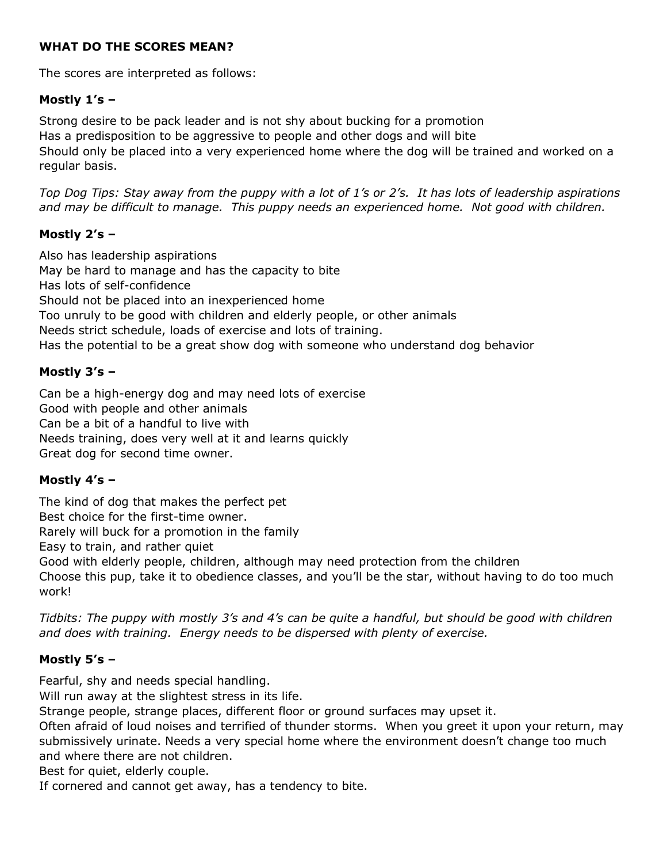#### WHAT DO THE SCORES MEAN?

The scores are interpreted as follows:

## Mostly 1's –

Strong desire to be pack leader and is not shy about bucking for a promotion Has a predisposition to be aggressive to people and other dogs and will bite Should only be placed into a very experienced home where the dog will be trained and worked on a regular basis.

Top Dog Tips: Stay away from the puppy with a lot of 1's or 2's. It has lots of leadership aspirations and may be difficult to manage. This puppy needs an experienced home. Not good with children.

#### Mostly 2's –

Also has leadership aspirations May be hard to manage and has the capacity to bite Has lots of self-confidence Should not be placed into an inexperienced home Too unruly to be good with children and elderly people, or other animals Needs strict schedule, loads of exercise and lots of training. Has the potential to be a great show dog with someone who understand dog behavior

## Mostly 3's –

Can be a high-energy dog and may need lots of exercise Good with people and other animals Can be a bit of a handful to live with Needs training, does very well at it and learns quickly Great dog for second time owner.

## Mostly 4's –

The kind of dog that makes the perfect pet Best choice for the first-time owner. Rarely will buck for a promotion in the family Easy to train, and rather quiet Good with elderly people, children, although may need protection from the children

Choose this pup, take it to obedience classes, and you'll be the star, without having to do too much work!

Tidbits: The puppy with mostly 3's and 4's can be quite a handful, but should be good with children and does with training. Energy needs to be dispersed with plenty of exercise.

## Mostly 5's –

Fearful, shy and needs special handling.

Will run away at the slightest stress in its life.

Strange people, strange places, different floor or ground surfaces may upset it.

Often afraid of loud noises and terrified of thunder storms. When you greet it upon your return, may submissively urinate. Needs a very special home where the environment doesn't change too much and where there are not children.

Best for quiet, elderly couple.

If cornered and cannot get away, has a tendency to bite.